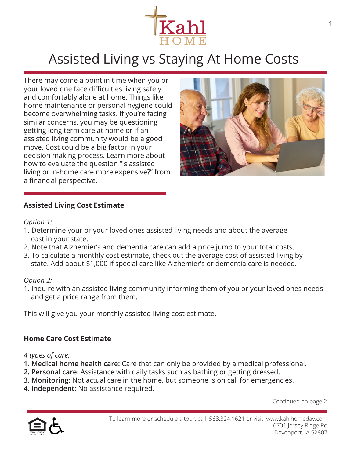

# Assisted Living vs Staying At Home Costs

There may come a point in time when you or your loved one face difficulties living safely and comfortably alone at home. Things like home maintenance or personal hygiene could become overwhelming tasks. If you're facing similar concerns, you may be questioning getting long term care at home or if an assisted living community would be a good move. Cost could be a big factor in your decision making process. Learn more about how to evaluate the question "is assisted living or in-home care more expensive?" from a financial perspective.



#### **Assisted Living Cost Estimate**

#### *Option 1:*

- 1. Determine your or your loved ones assisted living needs and about the average cost in your state.
- 2. Note that Alzhemier's and dementia care can add a price jump to your total costs.
- 3. To calculate a monthly cost estimate, check out the average cost of assisted living by state. Add about \$1,000 if special care like Alzhemier's or dementia care is needed.

#### *Option 2:*

1. Inquire with an assisted living community informing them of you or your loved ones needs and get a price range from them.

This will give you your monthly assisted living cost estimate.

## **Home Care Cost Estimate**

*4 types of care:*

- **1. Medical home health care:** Care that can only be provided by a medical professional.
- **2. Personal care:** Assistance with daily tasks such as bathing or getting dressed.
- **3. Monitoring:** Not actual care in the home, but someone is on call for emergencies.
- **4. Independent:** No assistance required.

Continued on page 2